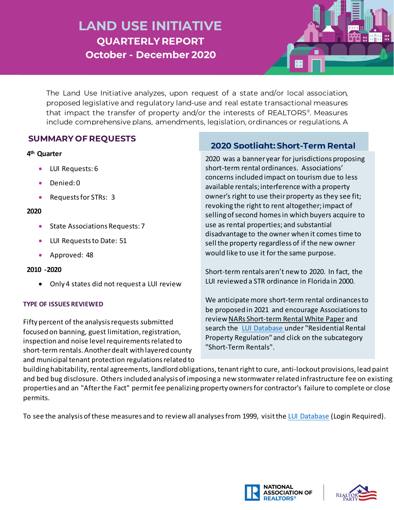# **LAND USE INITIATIVE QUARTERLY REPORT October - December 2020**

The Land Use Initiative analyzes, upon request of a state and/or local association, proposed legislative and regulatory land-use and real estate transactional measures that impact the transfer of property and/or the interests of REALTORS®. Measures include comprehensive plans, amendments, legislation, ordinances or regulations. A

### **SUMMARY OF REQUESTS**

#### **4th Quarter**

- LUI Requests: 6
- Denied: 0
- Requests for STRs: 3

#### **2020**

- State Associations Requests: 7
- LUI Requests to Date: 51
- Approved: 48

#### **2010 -2020**

• Only 4 states did not request a LUI review

#### **TYPE OF ISSUES REVIEWED**

Fifty percent of the analysis requests submitted focused on banning, guest limitation, registration, inspection and noise level requirements related to short-term rentals. Another dealt with layered county and municipal tenant protection regulations related to

## **SUMMARY OF REQUESTS 2020 Spotlight: Short-Term Rental**

2020 was a banner year for jurisdictions proposing short-term rental ordinances. Associations' concerns included impact on tourism due to less available rentals; interference with a property owner's right to use their property as they see fit; revoking the right to rent altogether;impact of selling of second homes in which buyers acquire to use as rental properties; and substantial disadvantage to the owner when it comes time to sell the property regardless of if the new owner would like to use it for the same purpose.

Short-term rentals aren't new to 2020. In fact, the LUI reviewed a STR ordinance in Florida in 2000.

We anticipate more short-term rental ordinancesto be proposed in 2021 and encourage Associations to revie[w NARs Short-term Rental White Paper](https://realtorparty.realtor/state-local-issues/issues/short-term-rentals) and search the [LUI Database](https://www.nar.realtor/luimemos.nsf/LUIIssWeb?OpenView) under "Residential Rental Property Regulation" and click on the subcategory "Short-Term Rentals".

building habitability, rental agreements, landlord obligations, tenantright to cure, anti-lockout provisions, lead paint and bed bug disclosure. Others included analysis of imposing a new stormwater related infrastructure fee on existing properties and an "After the Fact" permit fee penalizing property owners for contractor's failure to complete or close permits.

To see the analysis of these measures and to review all analyses from 1999, visit the [LUI Database](https://www.nar.realtor/luimemos.nsf/LUIIssWeb?OpenView) (Login Required).